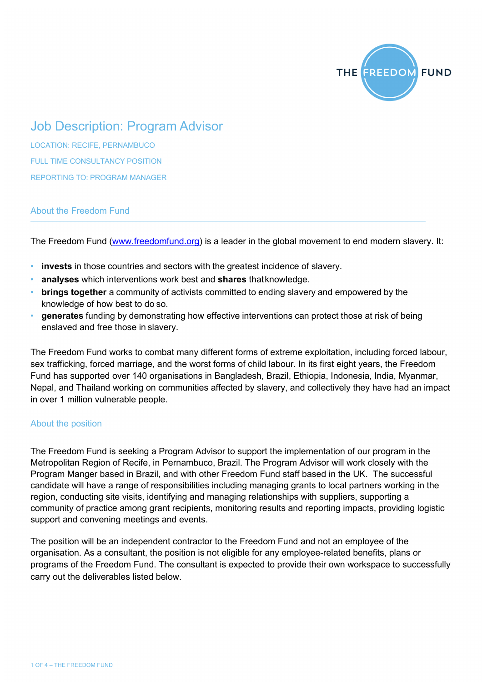

# Job Description: Program Advisor

LOCATION: RECIFE, PERNAMBUCO FULL TIME CONSULTANCY POSITION REPORTING TO: PROGRAM MANAGER

# About the Freedom Fund

The Freedom Fund (www.freedomfund.org) is a leader in the global movement to end modern slavery. It:

- **invests** in those countries and sectors with the greatest incidence of slavery.
- **analyses** which interventions work best and **shares** thatknowledge.
- **brings together** a community of activists committed to ending slavery and empowered by the knowledge of how best to do so.
- **generates** funding by demonstrating how effective interventions can protect those at risk of being enslaved and free those in slavery.

The Freedom Fund works to combat many different forms of extreme exploitation, including forced labour, sex trafficking, forced marriage, and the worst forms of child labour. In its first eight years, the Freedom Fund has supported over 140 organisations in Bangladesh, Brazil, Ethiopia, Indonesia, India, Myanmar, Nepal, and Thailand working on communities affected by slavery, and collectively they have had an impact in over 1 million vulnerable people.

# About the position

The Freedom Fund is seeking a Program Advisor to support the implementation of our program in the Metropolitan Region of Recife, in Pernambuco, Brazil. The Program Advisor will work closely with the Program Manger based in Brazil, and with other Freedom Fund staff based in the UK. The successful candidate will have a range of responsibilities including managing grants to local partners working in the region, conducting site visits, identifying and managing relationships with suppliers, supporting a community of practice among grant recipients, monitoring results and reporting impacts, providing logistic support and convening meetings and events.

The position will be an independent contractor to the Freedom Fund and not an employee of the organisation. As a consultant, the position is not eligible for any employee-related benefits, plans or programs of the Freedom Fund. The consultant is expected to provide their own workspace to successfully carry out the deliverables listed below.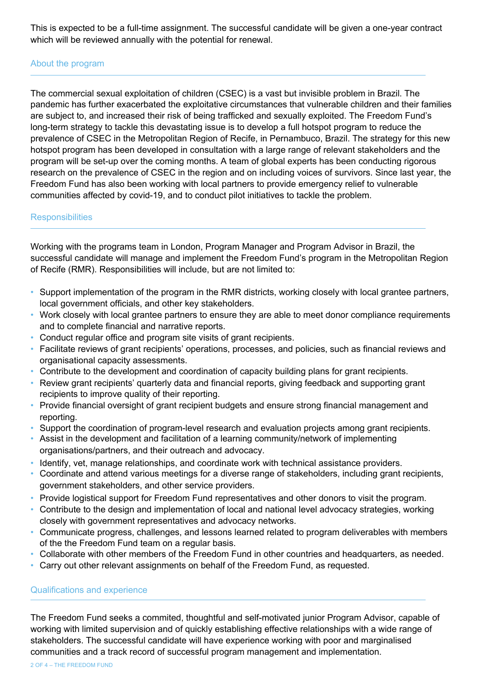This is expected to be a full-time assignment. The successful candidate will be given a one-year contract which will be reviewed annually with the potential for renewal.

# About the program

The commercial sexual exploitation of children (CSEC) is a vast but invisible problem in Brazil. The pandemic has further exacerbated the exploitative circumstances that vulnerable children and their families are subject to, and increased their risk of being trafficked and sexually exploited. The Freedom Fund's long-term strategy to tackle this devastating issue is to develop a full hotspot program to reduce the prevalence of CSEC in the Metropolitan Region of Recife, in Pernambuco, Brazil. The strategy for this new hotspot program has been developed in consultation with a large range of relevant stakeholders and the program will be set-up over the coming months. A team of global experts has been conducting rigorous research on the prevalence of CSEC in the region and on including voices of survivors. Since last year, the Freedom Fund has also been working with local partners to provide emergency relief to vulnerable communities affected by covid-19, and to conduct pilot initiatives to tackle the problem.

#### **Responsibilities**

Working with the programs team in London, Program Manager and Program Advisor in Brazil, the successful candidate will manage and implement the Freedom Fund's program in the Metropolitan Region of Recife (RMR). Responsibilities will include, but are not limited to:

- Support implementation of the program in the RMR districts, working closely with local grantee partners, local government officials, and other key stakeholders.
- Work closely with local grantee partners to ensure they are able to meet donor compliance requirements and to complete financial and narrative reports.
- Conduct regular office and program site visits of grant recipients.
- Facilitate reviews of grant recipients' operations, processes, and policies, such as financial reviews and organisational capacity assessments.
- Contribute to the development and coordination of capacity building plans for grant recipients.
- Review grant recipients' quarterly data and financial reports, giving feedback and supporting grant recipients to improve quality of their reporting.
- Provide financial oversight of grant recipient budgets and ensure strong financial management and reporting.
- Support the coordination of program-level research and evaluation projects among grant recipients.
- Assist in the development and facilitation of a learning community/network of implementing organisations/partners, and their outreach and advocacy.
- Identify, vet, manage relationships, and coordinate work with technical assistance providers.
- Coordinate and attend various meetings for a diverse range of stakeholders, including grant recipients, government stakeholders, and other service providers.
- Provide logistical support for Freedom Fund representatives and other donors to visit the program.
- Contribute to the design and implementation of local and national level advocacy strategies, working closely with government representatives and advocacy networks.
- Communicate progress, challenges, and lessons learned related to program deliverables with members of the the Freedom Fund team on a regular basis.
- Collaborate with other members of the Freedom Fund in other countries and headquarters, as needed.
- Carry out other relevant assignments on behalf of the Freedom Fund, as requested.

#### Qualifications and experience

The Freedom Fund seeks a commited, thoughtful and self-motivated junior Program Advisor, capable of working with limited supervision and of quickly establishing effective relationships with a wide range of stakeholders. The successful candidate will have experience working with poor and marginalised communities and a track record of successful program management and implementation.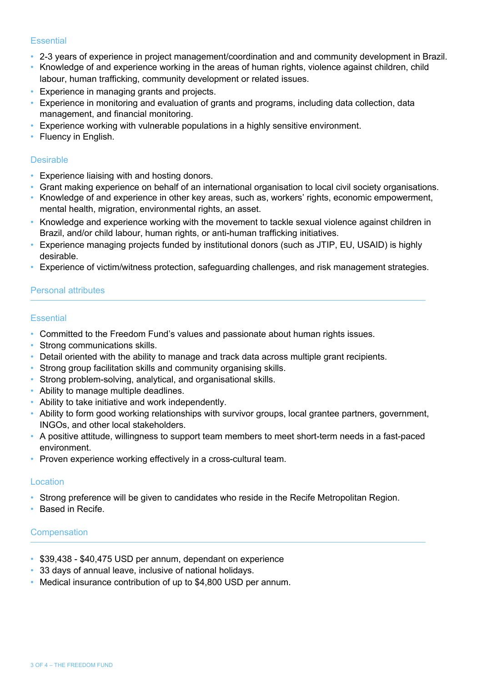#### **Essential**

- 2-3 years of experience in project management/coordination and and community development in Brazil.
- Knowledge of and experience working in the areas of human rights, violence against children, child labour, human trafficking, community development or related issues.
- Experience in managing grants and projects.
- Experience in monitoring and evaluation of grants and programs, including data collection, data management, and financial monitoring.
- Experience working with vulnerable populations in a highly sensitive environment.
- Fluency in English.

#### Desirable

- Experience liaising with and hosting donors.
- Grant making experience on behalf of an international organisation to local civil society organisations.
- Knowledge of and experience in other key areas, such as, workers' rights, economic empowerment, mental health, migration, environmental rights, an asset.
- Knowledge and experience working with the movement to tackle sexual violence against children in Brazil, and/or child labour, human rights, or anti-human trafficking initiatives.
- Experience managing projects funded by institutional donors (such as JTIP, EU, USAID) is highly desirable.
- Experience of victim/witness protection, safeguarding challenges, and risk management strategies.

# Personal attributes

# **Essential**

- Committed to the Freedom Fund's values and passionate about human rights issues.
- Strong communications skills.
- Detail oriented with the ability to manage and track data across multiple grant recipients.
- Strong group facilitation skills and community organising skills.
- Strong problem-solving, analytical, and organisational skills.
- Ability to manage multiple deadlines.
- Ability to take initiative and work independently.
- Ability to form good working relationships with survivor groups, local grantee partners, government, INGOs, and other local stakeholders.
- A positive attitude, willingness to support team members to meet short-term needs in a fast-paced environment.
- Proven experience working effectively in a cross-cultural team.

# Location

- Strong preference will be given to candidates who reside in the Recife Metropolitan Region.
- Based in Recife.

# Compensation

- \$39,438 \$40,475 USD per annum, dependant on experience
- 33 days of annual leave, inclusive of national holidays.
- Medical insurance contribution of up to \$4,800 USD per annum.